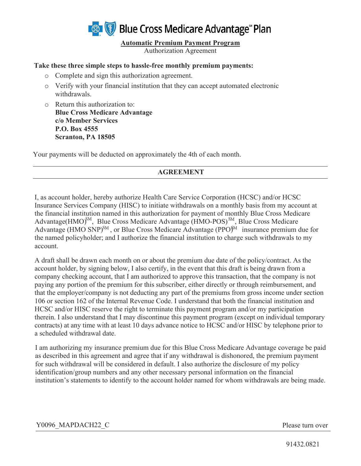

**Automatic Premium Payment Program** 

Authorization Agreement

## **Take these three simple steps to hassle-free monthly premium payments:**

- o Complete and sign this authorization agreement.
- o Verify with your financial institution that they can accept automated electronic withdrawals.
- o Return this authorization to: **Blue Cross Medicare Advantage c/o Member Services P.O. Box 4555 Scranton, PA 18505**

Your payments will be deducted on approximately the 4th of each month.

## **AGREEMENT**

I, as account holder, hereby authorize Health Care Service Corporation (HCSC) and/or HCSC Insurance Services Company (HISC) to initiate withdrawals on a monthly basis from my account at the financial institution named in this authorization for payment of monthly Blue Cross Medicare Advantage(HMO)<sup>SM</sup>, Blue Cross Medicare Advantage (HMO-POS)<sup>SM</sup>, Blue Cross Medicare Advantage (HMO SNP)<sup>SM</sup>, or Blue Cross Medicare Advantage (PPO)<sup>SM</sup> insurance premium due for the named policyholder; and I authorize the financial institution to charge such withdrawals to my account.

A draft shall be drawn each month on or about the premium due date of the policy/contract. As the account holder, by signing below, I also certify, in the event that this draft is being drawn from a company checking account, that I am authorized to approve this transaction, that the company is not paying any portion of the premium for this subscriber, either directly or through reimbursement, and that the employer/company is not deducting any part of the premiums from gross income under section 106 or section 162 of the Internal Revenue Code. I understand that both the financial institution and HCSC and/or HISC reserve the right to terminate this payment program and/or my participation therein. I also understand that I may discontinue this payment program (except on individual temporary contracts) at any time with at least 10 days advance notice to HCSC and/or HISC by telephone prior to a scheduled withdrawal date.

I am authorizing my insurance premium due for this Blue Cross Medicare Advantage coverage be paid as described in this agreement and agree that if any withdrawal is dishonored, the premium payment for such withdrawal will be considered in default. I also authorize the disclosure of my policy identification/group numbers and any other necessary personal information on the financial institution's statements to identify to the account holder named for whom withdrawals are being made.

## Y0096\_MAPDACH22\_C Please turn over